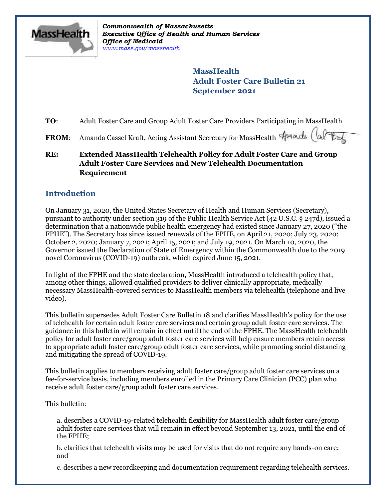

*Commonwealth of Massachusetts Executive Office of Health and Human Services Office of Medicaid [www.mass.gov/masshealth](http://www.mass.gov/masshealth)*

> **MassHealth Adult Foster Care Bulletin 21 September 2021**

**TO**: Adult Foster Care and Group Adult Foster Care Providers Participating in MassHealth

FROM: Amanda Cassel Kraft, Acting Assistant Secretary for MassHealth Stuard

**RE: Extended MassHealth Telehealth Policy for Adult Foster Care and Group Adult Foster Care Services and New Telehealth Documentation Requirement**

# **Introduction**

On January 31, 2020, the United States Secretary of Health and Human Services (Secretary), pursuant to authority under section 319 of the Public Health Service Act (42 U.S.C. § 247d), issued a determination that a nationwide public health emergency had existed since January 27, 2020 ("the FPHE"). The Secretary has since issued renewals of the FPHE, on April 21, 2020; July 23, 2020; October 2, 2020; January 7, 2021; April 15, 2021; and July 19, 2021. On March 10, 2020, the Governor issued the Declaration of State of Emergency within the Commonwealth due to the 2019 novel Coronavirus (COVID-19) outbreak, which expired June 15, 2021.

In light of the FPHE and the state declaration, MassHealth introduced a telehealth policy that, among other things, allowed qualified providers to deliver clinically appropriate, medically necessary MassHealth-covered services to MassHealth members via telehealth (telephone and live video).

This bulletin supersedes Adult Foster Care Bulletin 18 and clarifies MassHealth's policy for the use of telehealth for certain adult foster care services and certain group adult foster care services. The guidance in this bulletin will remain in effect until the end of the FPHE. The MassHealth telehealth policy for adult foster care/group adult foster care services will help ensure members retain access to appropriate adult foster care/group adult foster care services, while promoting social distancing and mitigating the spread of COVID-19.

This bulletin applies to members receiving adult foster care/group adult foster care services on a fee-for-service basis, including members enrolled in the Primary Care Clinician (PCC) plan who receive adult foster care/group adult foster care services.

This bulletin:

a. describes a COVID-19-related telehealth flexibility for MassHealth adult foster care/group adult foster care services that will remain in effect beyond September 13, 2021, until the end of the FPHE;

b. clarifies that telehealth visits may be used for visits that do not require any hands-on care; and

c. describes a new recordkeeping and documentation requirement regarding telehealth services.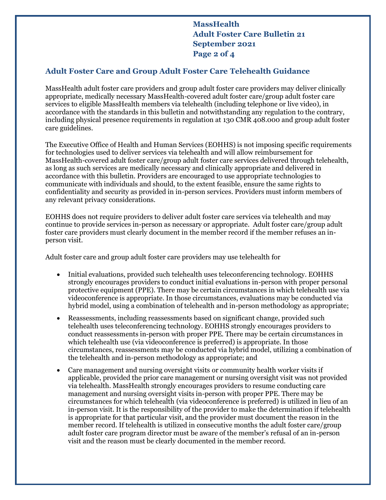**MassHealth Adult Foster Care Bulletin 21 September 2021 Page 2 of 4**

### **Adult Foster Care and Group Adult Foster Care Telehealth Guidance**

MassHealth adult foster care providers and group adult foster care providers may deliver clinically appropriate, medically necessary MassHealth-covered adult foster care/group adult foster care services to eligible MassHealth members via telehealth (including telephone or live video), in accordance with the standards in this bulletin and notwithstanding any regulation to the contrary, including physical presence requirements in regulation at 130 CMR 408.000 and group adult foster care guidelines.

The Executive Office of Health and Human Services (EOHHS) is not imposing specific requirements for technologies used to deliver services via telehealth and will allow reimbursement for MassHealth-covered adult foster care/group adult foster care services delivered through telehealth, as long as such services are medically necessary and clinically appropriate and delivered in accordance with this bulletin. Providers are encouraged to use appropriate technologies to communicate with individuals and should, to the extent feasible, ensure the same rights to confidentiality and security as provided in in-person services. Providers must inform members of any relevant privacy considerations.

EOHHS does not require providers to deliver adult foster care services via telehealth and may continue to provide services in-person as necessary or appropriate. Adult foster care/group adult foster care providers must clearly document in the member record if the member refuses an inperson visit.

Adult foster care and group adult foster care providers may use telehealth for

- Initial evaluations, provided such telehealth uses teleconferencing technology. EOHHS strongly encourages providers to conduct initial evaluations in-person with proper personal protective equipment (PPE). There may be certain circumstances in which telehealth use via videoconference is appropriate. In those circumstances, evaluations may be conducted via hybrid model, using a combination of telehealth and in-person methodology as appropriate;
- Reassessments, including reassessments based on significant change, provided such telehealth uses teleconferencing technology. EOHHS strongly encourages providers to conduct reassessments in-person with proper PPE. There may be certain circumstances in which telehealth use (via videoconference is preferred) is appropriate. In those circumstances, reassessments may be conducted via hybrid model, utilizing a combination of the telehealth and in-person methodology as appropriate; and
- Care management and nursing oversight visits or community health worker visits if applicable, provided the prior care management or nursing oversight visit was not provided via telehealth. MassHealth strongly encourages providers to resume conducting care management and nursing oversight visits in-person with proper PPE. There may be circumstances for which telehealth (via videoconference is preferred) is utilized in lieu of an in-person visit. It is the responsibility of the provider to make the determination if telehealth is appropriate for that particular visit, and the provider must document the reason in the member record. If telehealth is utilized in consecutive months the adult foster care/group adult foster care program director must be aware of the member's refusal of an in-person visit and the reason must be clearly documented in the member record.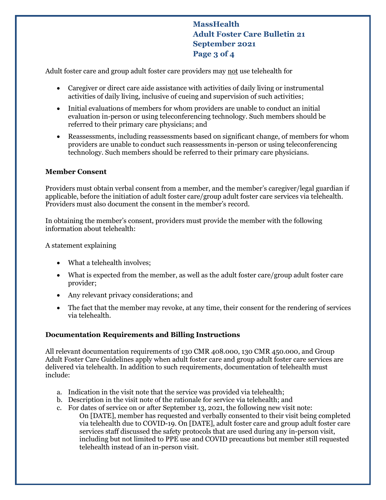**MassHealth Adult Foster Care Bulletin 21 September 2021 Page 3 of 4**

Adult foster care and group adult foster care providers may not use telehealth for

- Caregiver or direct care aide assistance with activities of daily living or instrumental activities of daily living, inclusive of cueing and supervision of such activities;
- Initial evaluations of members for whom providers are unable to conduct an initial evaluation in-person or using teleconferencing technology. Such members should be referred to their primary care physicians; and
- Reassessments, including reassessments based on significant change, of members for whom providers are unable to conduct such reassessments in-person or using teleconferencing technology. Such members should be referred to their primary care physicians.

### **Member Consent**

Providers must obtain verbal consent from a member, and the member's caregiver/legal guardian if applicable, before the initiation of adult foster care/group adult foster care services via telehealth. Providers must also document the consent in the member's record.

In obtaining the member's consent, providers must provide the member with the following information about telehealth:

A statement explaining

- What a telehealth involves;
- What is expected from the member, as well as the adult foster care/group adult foster care provider;
- Any relevant privacy considerations; and
- The fact that the member may revoke, at any time, their consent for the rendering of services via telehealth.

#### **Documentation Requirements and Billing Instructions**

All relevant documentation requirements of 130 CMR 408.000, 130 CMR 450.000, and Group Adult Foster Care Guidelines apply when adult foster care and group adult foster care services are delivered via telehealth. In addition to such requirements, documentation of telehealth must include:

- a. Indication in the visit note that the service was provided via telehealth;
- b. Description in the visit note of the rationale for service via telehealth; and
- c. For dates of service on or after September 13, 2021, the following new visit note:
	- On [DATE], member has requested and verbally consented to their visit being completed via telehealth due to COVID-19. On [DATE], adult foster care and group adult foster care services staff discussed the safety protocols that are used during any in-person visit, including but not limited to PPE use and COVID precautions but member still requested telehealth instead of an in-person visit.